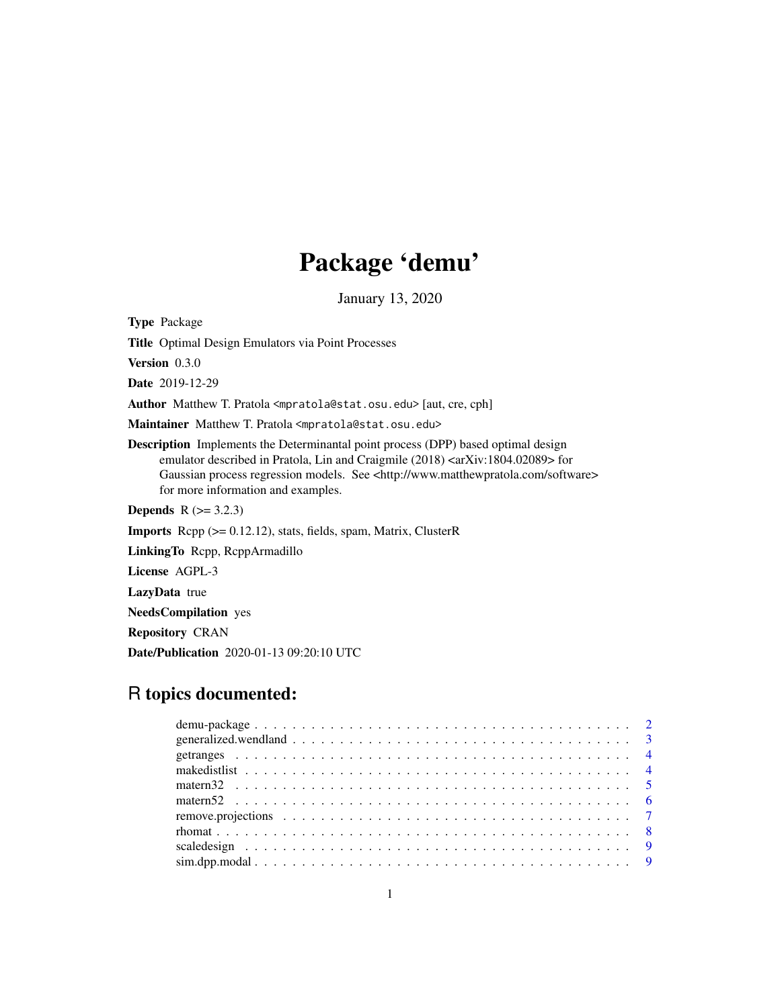# Package 'demu'

January 13, 2020

<span id="page-0-0"></span>Type Package Title Optimal Design Emulators via Point Processes Version 0.3.0 Date 2019-12-29 Author Matthew T. Pratola <mpratola@stat.osu.edu> [aut, cre, cph] Maintainer Matthew T. Pratola <mpratola@stat.osu.edu> Description Implements the Determinantal point process (DPP) based optimal design emulator described in Pratola, Lin and Craigmile (2018) <arXiv:1804.02089> for Gaussian process regression models. See <http://www.matthewpratola.com/software> for more information and examples. **Depends** R  $(>= 3.2.3)$ Imports Rcpp (>= 0.12.12), stats, fields, spam, Matrix, ClusterR LinkingTo Rcpp, RcppArmadillo License AGPL-3 LazyData true NeedsCompilation yes Repository CRAN Date/Publication 2020-01-13 09:20:10 UTC

## R topics documented:

| $\text{sim}.\text{dpn}.\text{modal}. \dots \dots \dots \dots \dots \dots \dots \dots \dots \dots \dots \dots \dots \dots \dots \dots \dots \dots$ |  |  |  |  |  |  |  |  |  |  |  |  |  |  |  |  |  |  |
|---------------------------------------------------------------------------------------------------------------------------------------------------|--|--|--|--|--|--|--|--|--|--|--|--|--|--|--|--|--|--|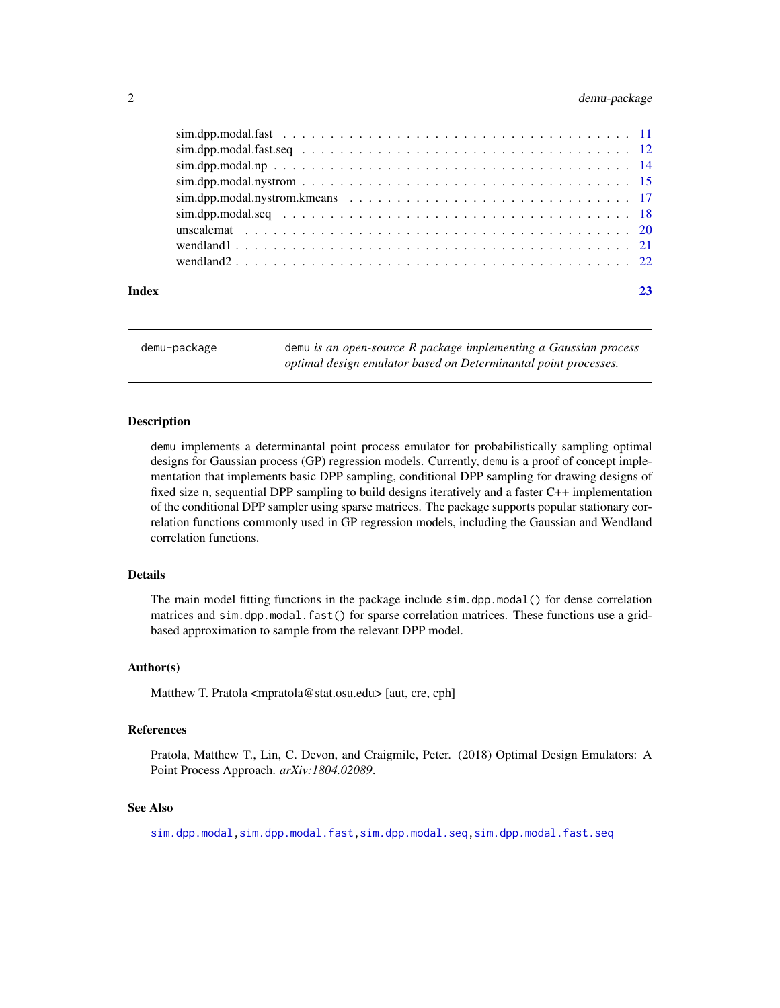#### <span id="page-1-0"></span>2 demu-package

|       | $\sin \theta$ , $\sin \theta$ , $\sin \theta$ , $\sin \theta$ , $\sin \theta$ , $\sin \theta$ , $\sin \theta$ , $\sin \theta$ , $\sin \theta$ , $\sin \theta$ , $\sin \theta$ , $\sin \theta$ , $\sin \theta$ , $\sin \theta$ , $\sin \theta$ , $\sin \theta$ , $\sin \theta$ , $\sin \theta$ , $\sin \theta$ , $\sin \theta$ , $\sin \theta$ , $\sin \theta$ , $\sin \theta$ , $\sin \theta$ , $\sin \theta$ , $\sin \theta$ , $\sin \theta$ , $\sin \theta$ |  |
|-------|---------------------------------------------------------------------------------------------------------------------------------------------------------------------------------------------------------------------------------------------------------------------------------------------------------------------------------------------------------------------------------------------------------------------------------------------------------------|--|
|       |                                                                                                                                                                                                                                                                                                                                                                                                                                                               |  |
|       |                                                                                                                                                                                                                                                                                                                                                                                                                                                               |  |
|       |                                                                                                                                                                                                                                                                                                                                                                                                                                                               |  |
|       |                                                                                                                                                                                                                                                                                                                                                                                                                                                               |  |
|       |                                                                                                                                                                                                                                                                                                                                                                                                                                                               |  |
|       |                                                                                                                                                                                                                                                                                                                                                                                                                                                               |  |
|       |                                                                                                                                                                                                                                                                                                                                                                                                                                                               |  |
| Index |                                                                                                                                                                                                                                                                                                                                                                                                                                                               |  |

<span id="page-1-1"></span>demu-package demu *is an open-source R package implementing a Gaussian process optimal design emulator based on Determinantal point processes.*

#### Description

demu implements a determinantal point process emulator for probabilistically sampling optimal designs for Gaussian process (GP) regression models. Currently, demu is a proof of concept implementation that implements basic DPP sampling, conditional DPP sampling for drawing designs of fixed size n, sequential DPP sampling to build designs iteratively and a faster C++ implementation of the conditional DPP sampler using sparse matrices. The package supports popular stationary correlation functions commonly used in GP regression models, including the Gaussian and Wendland correlation functions.

#### Details

The main model fitting functions in the package include sim.dpp.modal() for dense correlation matrices and sim.dpp.modal.fast() for sparse correlation matrices. These functions use a gridbased approximation to sample from the relevant DPP model.

#### Author(s)

Matthew T. Pratola <mpratola@stat.osu.edu> [aut, cre, cph]

#### References

Pratola, Matthew T., Lin, C. Devon, and Craigmile, Peter. (2018) Optimal Design Emulators: A Point Process Approach. *arXiv:1804.02089*.

#### See Also

[sim.dpp.modal](#page-8-1)[,sim.dpp.modal.fast,](#page-10-1)[sim.dpp.modal.seq](#page-17-1)[,sim.dpp.modal.fast.seq](#page-11-1)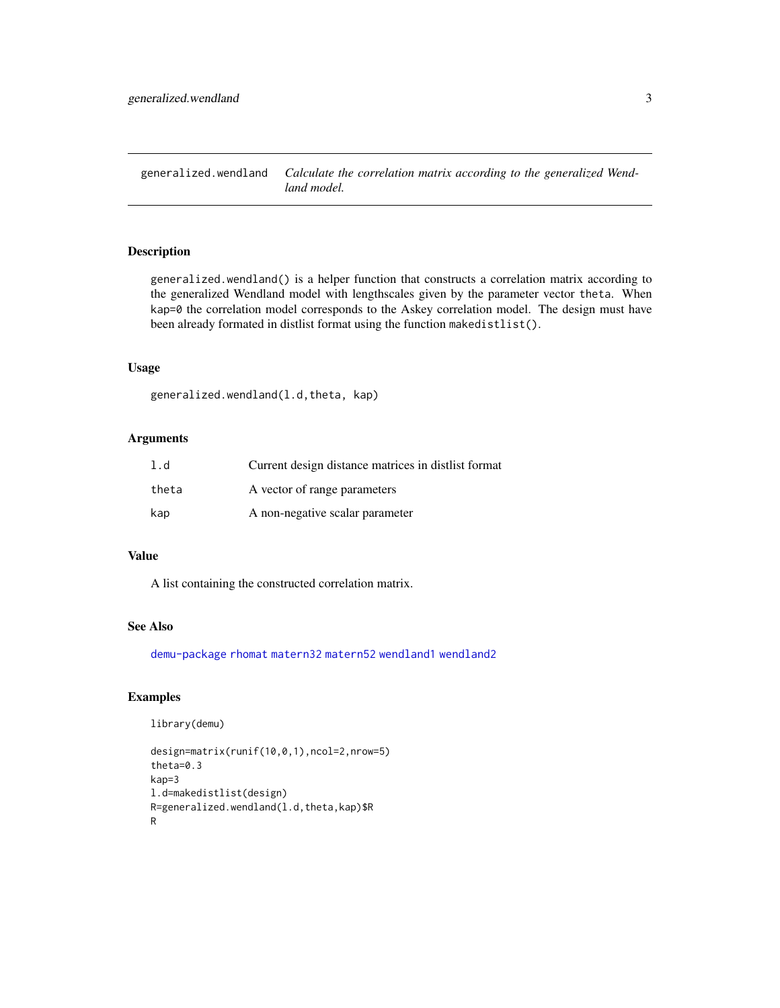<span id="page-2-1"></span><span id="page-2-0"></span>generalized.wendland *Calculate the correlation matrix according to the generalized Wendland model.*

#### Description

generalized.wendland() is a helper function that constructs a correlation matrix according to the generalized Wendland model with lengthscales given by the parameter vector theta. When kap=0 the correlation model corresponds to the Askey correlation model. The design must have been already formated in distlist format using the function makedistlist().

#### Usage

```
generalized.wendland(l.d,theta, kap)
```
#### Arguments

| 1.d   | Current design distance matrices in distlist format |
|-------|-----------------------------------------------------|
| theta | A vector of range parameters                        |
| kap   | A non-negative scalar parameter                     |

#### Value

A list containing the constructed correlation matrix.

#### See Also

[demu-package](#page-1-1) [rhomat](#page-7-1) [matern32](#page-4-1) [matern52](#page-5-1) [wendland1](#page-20-1) [wendland2](#page-21-1)

#### Examples

```
library(demu)
```

```
design=matrix(runif(10,0,1),ncol=2,nrow=5)
theta=0.3
kap=3
l.d=makedistlist(design)
R=generalized.wendland(l.d,theta,kap)$R
R
```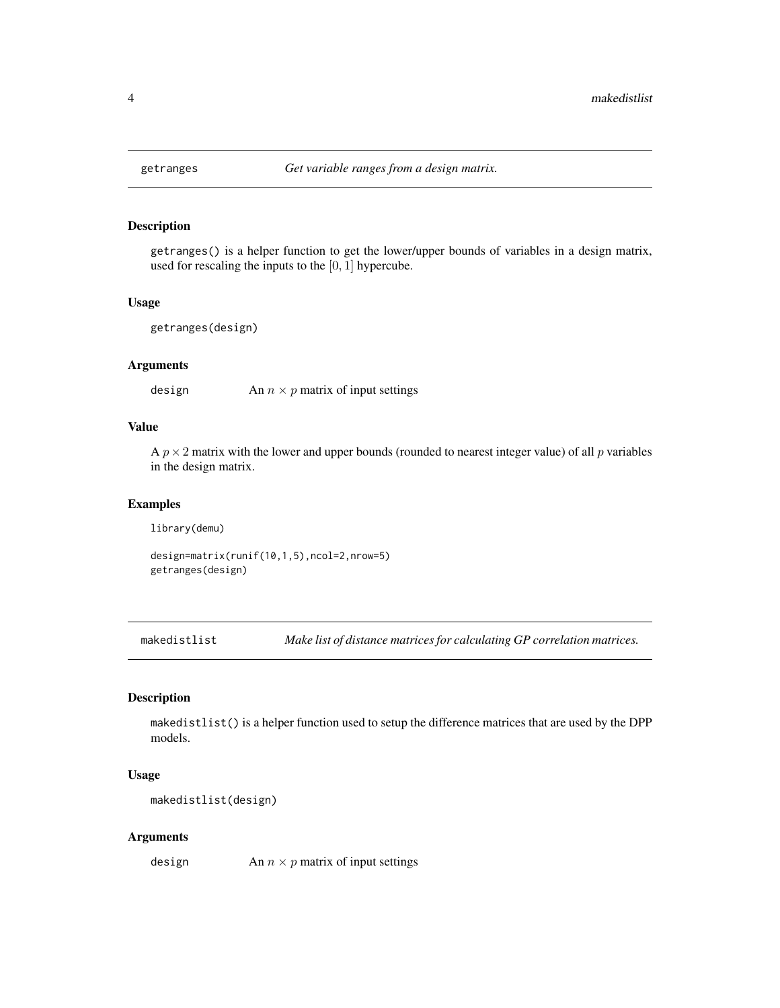#### Description

getranges() is a helper function to get the lower/upper bounds of variables in a design matrix, used for rescaling the inputs to the [0, 1] hypercube.

#### Usage

```
getranges(design)
```
#### Arguments

design An  $n \times p$  matrix of input settings

#### Value

A  $p \times 2$  matrix with the lower and upper bounds (rounded to nearest integer value) of all p variables in the design matrix.

#### Examples

library(demu)

design=matrix(runif(10,1,5),ncol=2,nrow=5) getranges(design)

makedistlist *Make list of distance matrices for calculating GP correlation matrices.*

#### Description

makedistlist() is a helper function used to setup the difference matrices that are used by the DPP models.

#### Usage

makedistlist(design)

#### Arguments

design An  $n \times p$  matrix of input settings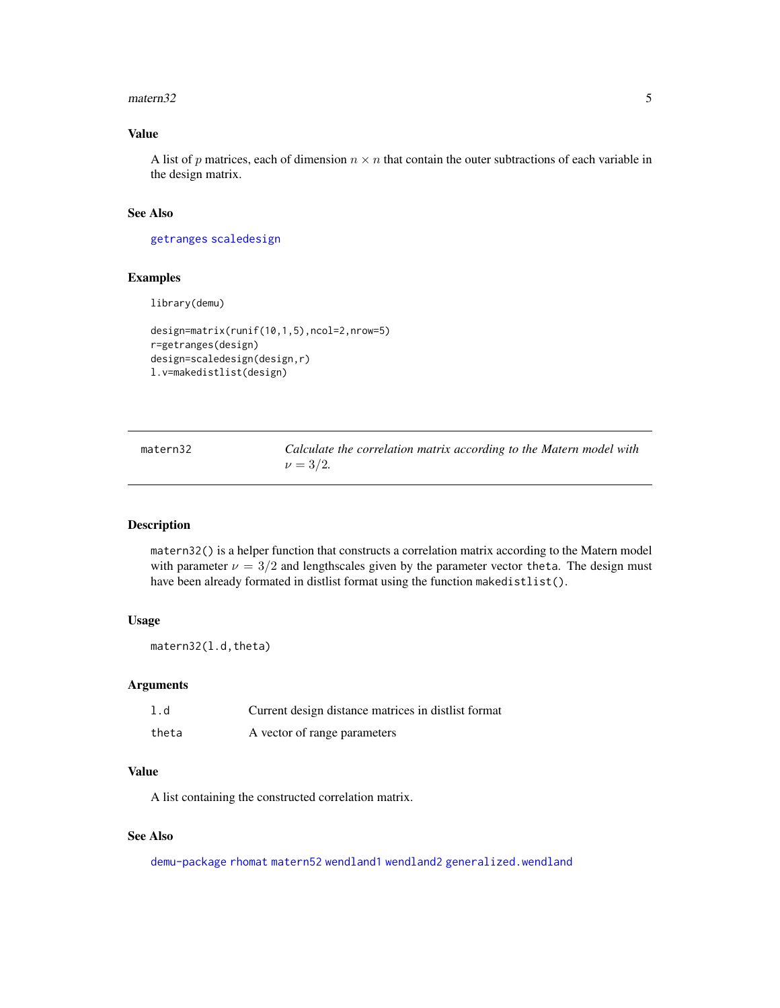#### <span id="page-4-0"></span> $\mu$ matern $32$  5

#### Value

A list of p matrices, each of dimension  $n \times n$  that contain the outer subtractions of each variable in the design matrix.

#### See Also

[getranges](#page-3-1) [scaledesign](#page-8-2)

#### Examples

library(demu)

```
design=matrix(runif(10,1,5),ncol=2,nrow=5)
r=getranges(design)
design=scaledesign(design,r)
l.v=makedistlist(design)
```
<span id="page-4-1"></span>matern32 *Calculate the correlation matrix according to the Matern model with*  $\nu = 3/2$ .

#### Description

matern32() is a helper function that constructs a correlation matrix according to the Matern model with parameter  $\nu = 3/2$  and lengthscales given by the parameter vector theta. The design must have been already formated in distlist format using the function makedistlist().

#### Usage

matern32(l.d,theta)

#### Arguments

| 1.d   | Current design distance matrices in distlist format |
|-------|-----------------------------------------------------|
| theta | A vector of range parameters                        |

#### Value

A list containing the constructed correlation matrix.

#### See Also

[demu-package](#page-1-1) [rhomat](#page-7-1) [matern52](#page-5-1) [wendland1](#page-20-1) [wendland2](#page-21-1) [generalized.wendland](#page-2-1)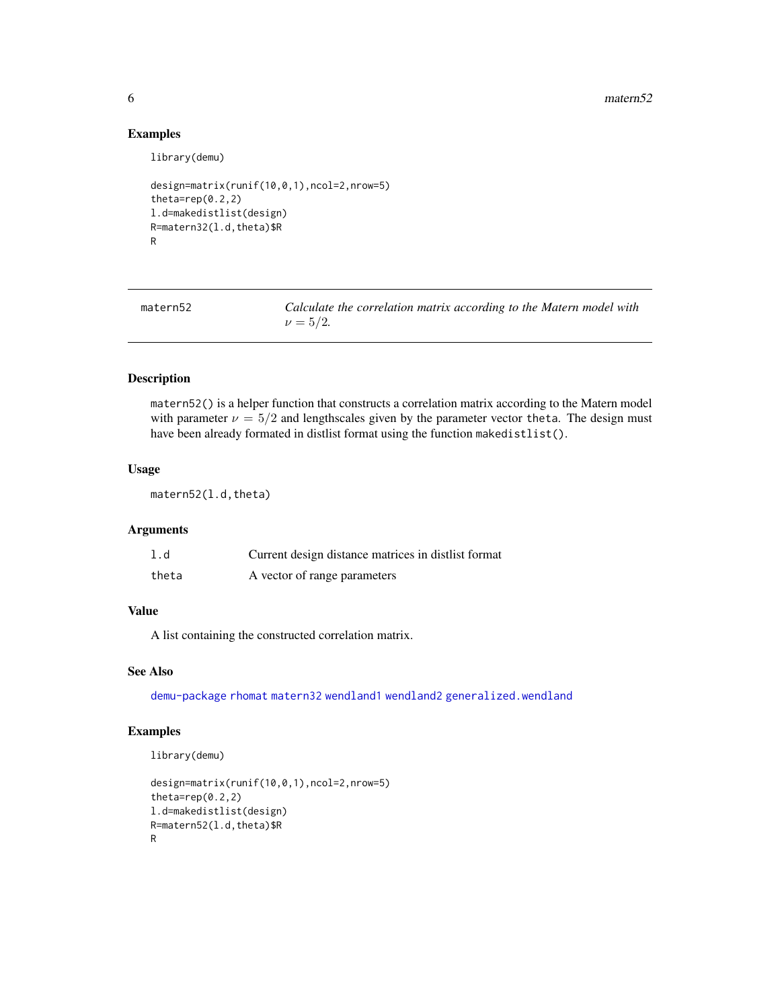#### Examples

library(demu)

```
design=matrix(runif(10,0,1),ncol=2,nrow=5)
theta=rep(0.2,2)
l.d=makedistlist(design)
R=matern32(l.d,theta)$R
R
```
<span id="page-5-1"></span>matern52 *Calculate the correlation matrix according to the Matern model with*  $\nu = 5/2$ .

#### Description

matern52() is a helper function that constructs a correlation matrix according to the Matern model with parameter  $\nu = 5/2$  and lengthscales given by the parameter vector theta. The design must have been already formated in distlist format using the function makedistlist().

#### Usage

matern52(l.d,theta)

#### Arguments

| 1.d   | Current design distance matrices in distlist format |
|-------|-----------------------------------------------------|
| theta | A vector of range parameters                        |

#### Value

A list containing the constructed correlation matrix.

#### See Also

[demu-package](#page-1-1) [rhomat](#page-7-1) [matern32](#page-4-1) [wendland1](#page-20-1) [wendland2](#page-21-1) [generalized.wendland](#page-2-1)

#### Examples

```
design=matrix(runif(10,0,1),ncol=2,nrow=5)
theta=rep(0.2,2)
l.d=makedistlist(design)
R=matern52(l.d,theta)$R
R
```
<span id="page-5-0"></span>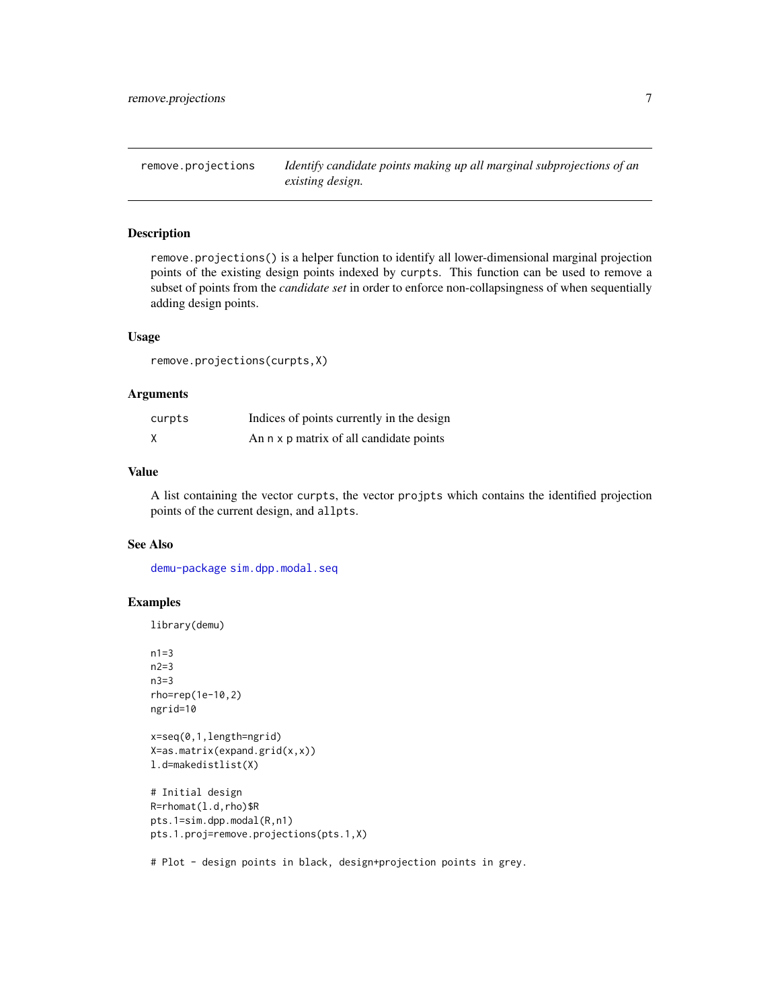<span id="page-6-0"></span>remove.projections *Identify candidate points making up all marginal subprojections of an existing design.*

#### Description

remove.projections() is a helper function to identify all lower-dimensional marginal projection points of the existing design points indexed by curpts. This function can be used to remove a subset of points from the *candidate set* in order to enforce non-collapsingness of when sequentially adding design points.

#### Usage

remove.projections(curpts,X)

#### Arguments

| curpts | Indices of points currently in the design |
|--------|-------------------------------------------|
| X      | An n x p matrix of all candidate points   |

#### Value

A list containing the vector curpts, the vector projpts which contains the identified projection points of the current design, and allpts.

#### See Also

[demu-package](#page-1-1) [sim.dpp.modal.seq](#page-17-1)

#### Examples

library(demu)

```
n1=3
n2=3
n3=3
rho=rep(1e-10,2)
ngrid=10
x=seq(0,1,length=ngrid)
X=as.matrix(expand.grid(x,x))
l.d=makedistlist(X)
# Initial design
R=rhomat(l.d,rho)$R
pts.1=sim.dpp.modal(R,n1)
pts.1.proj=remove.projections(pts.1,X)
```
# Plot - design points in black, design+projection points in grey.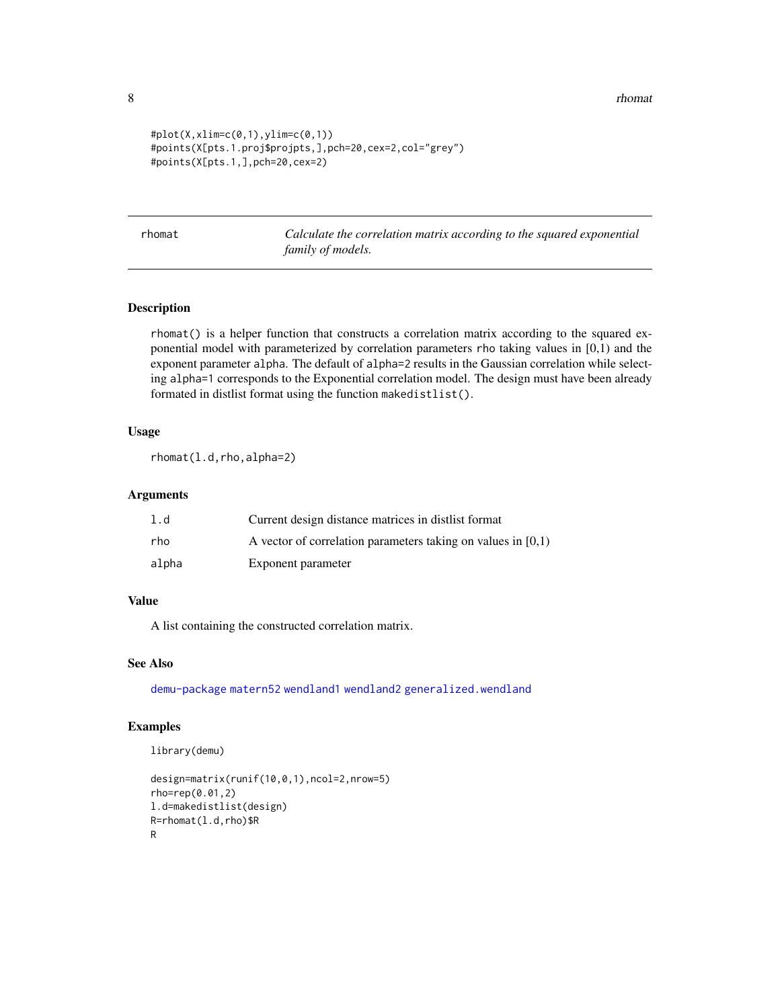8 **8** *n n n* **<b>***n n n n n n n n n* 

```
#plot(X, xlim=c(0, 1), ylim=c(0, 1))#points(X[pts.1.proj$projpts,],pch=20,cex=2,col="grey")
#points(X[pts.1,],pch=20,cex=2)
```
<span id="page-7-1"></span>rhomat *Calculate the correlation matrix according to the squared exponential family of models.*

#### Description

rhomat() is a helper function that constructs a correlation matrix according to the squared exponential model with parameterized by correlation parameters rho taking values in [0,1) and the exponent parameter alpha. The default of alpha=2 results in the Gaussian correlation while selecting alpha=1 corresponds to the Exponential correlation model. The design must have been already formated in distlist format using the function makedistlist().

#### Usage

rhomat(l.d,rho,alpha=2)

#### Arguments

| l.d   | Current design distance matrices in distlist format            |
|-------|----------------------------------------------------------------|
| rho   | A vector of correlation parameters taking on values in $[0,1)$ |
| alpha | Exponent parameter                                             |

#### Value

A list containing the constructed correlation matrix.

#### See Also

[demu-package](#page-1-1) [matern52](#page-5-1) [wendland1](#page-20-1) [wendland2](#page-21-1) [generalized.wendland](#page-2-1)

#### Examples

```
design=matrix(runif(10,0,1),ncol=2,nrow=5)
rho=rep(0.01,2)
l.d=makedistlist(design)
R=rhomat(l.d,rho)$R
R
```
<span id="page-7-0"></span>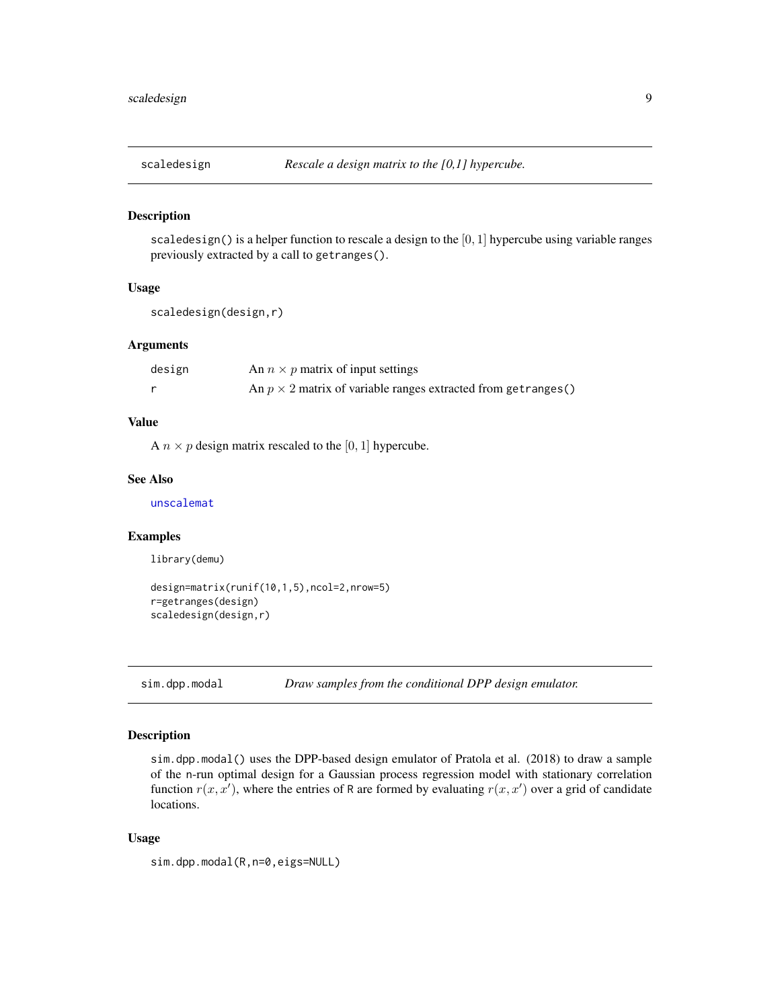<span id="page-8-2"></span><span id="page-8-0"></span>

#### Description

scaledesign() is a helper function to rescale a design to the  $[0, 1]$  hypercube using variable ranges previously extracted by a call to getranges().

#### Usage

```
scaledesign(design,r)
```
#### Arguments

| design | An $n \times p$ matrix of input settings                               |
|--------|------------------------------------------------------------------------|
|        | An $p \times 2$ matrix of variable ranges extracted from get ranges () |

#### Value

A  $n \times p$  design matrix rescaled to the [0, 1] hypercube.

#### See Also

[unscalemat](#page-19-1)

#### Examples

library(demu)

```
design=matrix(runif(10,1,5),ncol=2,nrow=5)
r=getranges(design)
scaledesign(design,r)
```
<span id="page-8-1"></span>sim.dpp.modal *Draw samples from the conditional DPP design emulator.*

#### Description

sim.dpp.modal() uses the DPP-based design emulator of Pratola et al. (2018) to draw a sample of the n-run optimal design for a Gaussian process regression model with stationary correlation function  $r(x, x')$ , where the entries of R are formed by evaluating  $r(x, x')$  over a grid of candidate locations.

#### Usage

```
sim.dpp.modal(R,n=0,eigs=NULL)
```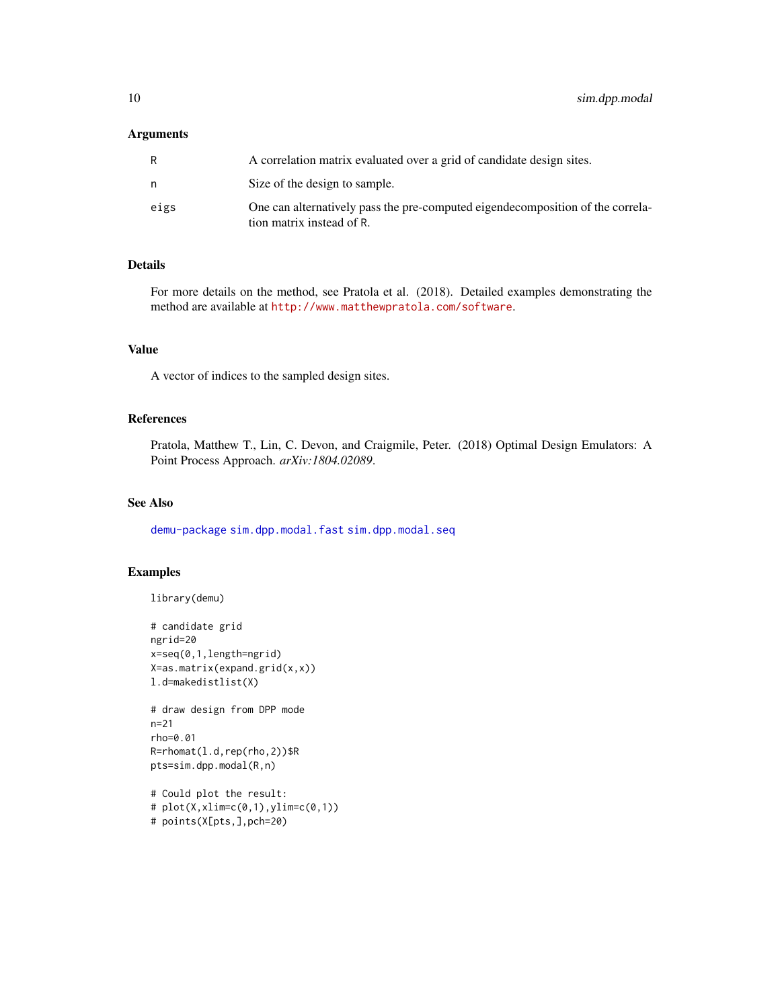#### <span id="page-9-0"></span>Arguments

|      | A correlation matrix evaluated over a grid of candidate design sites.                                       |
|------|-------------------------------------------------------------------------------------------------------------|
| n    | Size of the design to sample.                                                                               |
| eigs | One can alternatively pass the pre-computed eigendecomposition of the correla-<br>tion matrix instead of R. |

#### Details

For more details on the method, see Pratola et al. (2018). Detailed examples demonstrating the method are available at <http://www.matthewpratola.com/software>.

#### Value

A vector of indices to the sampled design sites.

#### References

Pratola, Matthew T., Lin, C. Devon, and Craigmile, Peter. (2018) Optimal Design Emulators: A Point Process Approach. *arXiv:1804.02089*.

#### See Also

[demu-package](#page-1-1) [sim.dpp.modal.fast](#page-10-1) [sim.dpp.modal.seq](#page-17-1)

#### Examples

```
library(demu)
# candidate grid
```

```
ngrid=20
x=seq(0,1,length=ngrid)
X=as.matrix(expand.grid(x,x))
l.d=makedistlist(X)
```

```
# draw design from DPP mode
n=21
rho=0.01
R=rhomat(l.d,rep(rho,2))$R
pts=sim.dpp.modal(R,n)
```

```
# Could plot the result:
# plot(X, xlim=c(0, 1), ylim=c(0, 1))# points(X[pts,],pch=20)
```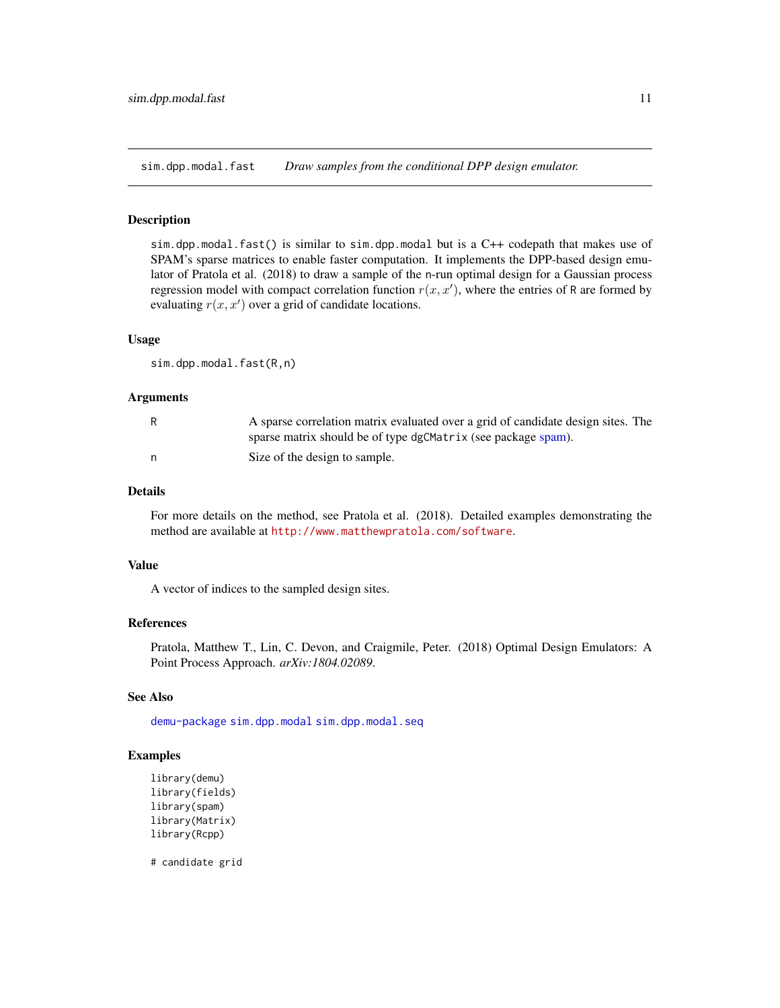<span id="page-10-1"></span><span id="page-10-0"></span>sim.dpp.modal.fast *Draw samples from the conditional DPP design emulator.*

#### **Description**

sim.dpp.modal.fast() is similar to sim.dpp.modal but is a C++ codepath that makes use of SPAM's sparse matrices to enable faster computation. It implements the DPP-based design emulator of Pratola et al. (2018) to draw a sample of the n-run optimal design for a Gaussian process regression model with compact correlation function  $r(x, x')$ , where the entries of R are formed by evaluating  $r(x, x')$  over a grid of candidate locations.

#### Usage

sim.dpp.modal.fast(R,n)

#### Arguments

| A sparse correlation matrix evaluated over a grid of candidate design sites. The |
|----------------------------------------------------------------------------------|
| sparse matrix should be of type dgCMatrix (see package spam).                    |
| Size of the design to sample.                                                    |

#### Details

For more details on the method, see Pratola et al. (2018). Detailed examples demonstrating the method are available at <http://www.matthewpratola.com/software>.

#### Value

A vector of indices to the sampled design sites.

#### References

Pratola, Matthew T., Lin, C. Devon, and Craigmile, Peter. (2018) Optimal Design Emulators: A Point Process Approach. *arXiv:1804.02089*.

#### See Also

[demu-package](#page-1-1) [sim.dpp.modal](#page-8-1) [sim.dpp.modal.seq](#page-17-1)

#### Examples

library(demu) library(fields) library(spam) library(Matrix) library(Rcpp)

# candidate grid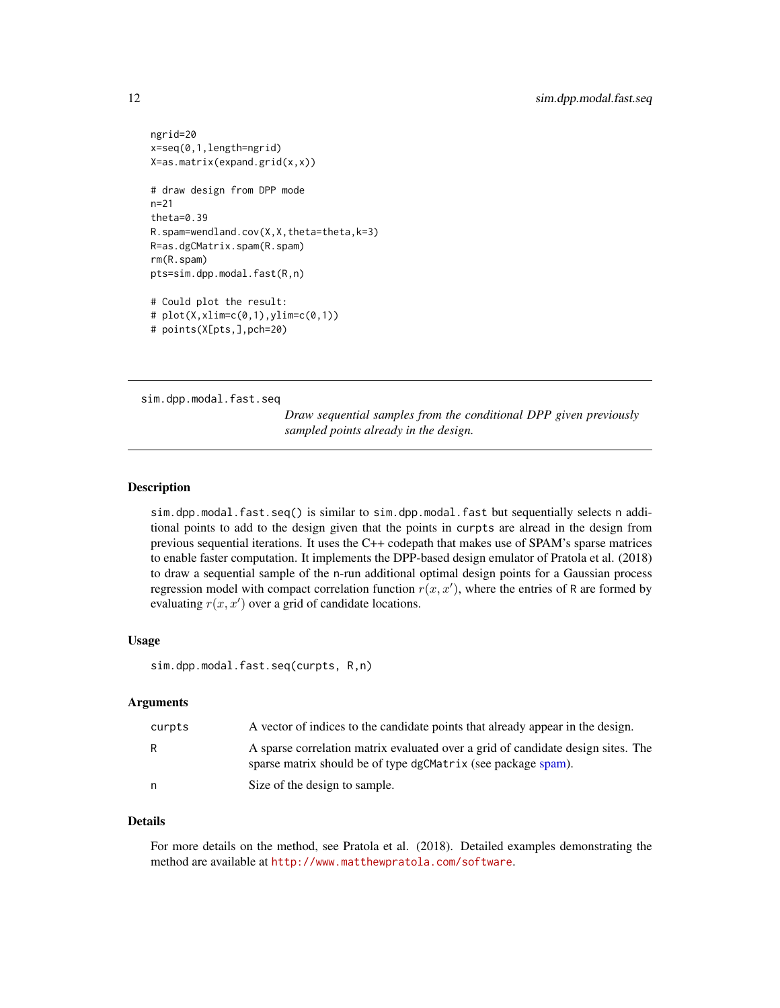```
ngrid=20
x=seq(0,1,length=ngrid)
X=as.matrix(expand.grid(x,x))
# draw design from DPP mode
n=21
theta=0.39
R.spam=wendland.cov(X,X,theta=theta,k=3)
R=as.dgCMatrix.spam(R.spam)
rm(R.spam)
pts=sim.dpp.modal.fast(R,n)
# Could plot the result:
# plot(X, xlim=c(0, 1), ylim=c(0, 1))# points(X[pts,],pch=20)
```
<span id="page-11-1"></span>sim.dpp.modal.fast.seq

*Draw sequential samples from the conditional DPP given previously sampled points already in the design.*

#### Description

sim.dpp.modal.fast.seq() is similar to sim.dpp.modal.fast but sequentially selects n additional points to add to the design given that the points in curpts are alread in the design from previous sequential iterations. It uses the C++ codepath that makes use of SPAM's sparse matrices to enable faster computation. It implements the DPP-based design emulator of Pratola et al. (2018) to draw a sequential sample of the n-run additional optimal design points for a Gaussian process regression model with compact correlation function  $r(x, x')$ , where the entries of R are formed by evaluating  $r(x, x')$  over a grid of candidate locations.

#### Usage

sim.dpp.modal.fast.seq(curpts, R,n)

#### Arguments

| curpts | A vector of indices to the candidate points that already appear in the design.                                                                    |
|--------|---------------------------------------------------------------------------------------------------------------------------------------------------|
| R      | A sparse correlation matrix evaluated over a grid of candidate design sites. The<br>sparse matrix should be of type dgCMatrix (see package spam). |
| n.     | Size of the design to sample.                                                                                                                     |

## Details

For more details on the method, see Pratola et al. (2018). Detailed examples demonstrating the method are available at <http://www.matthewpratola.com/software>.

<span id="page-11-0"></span>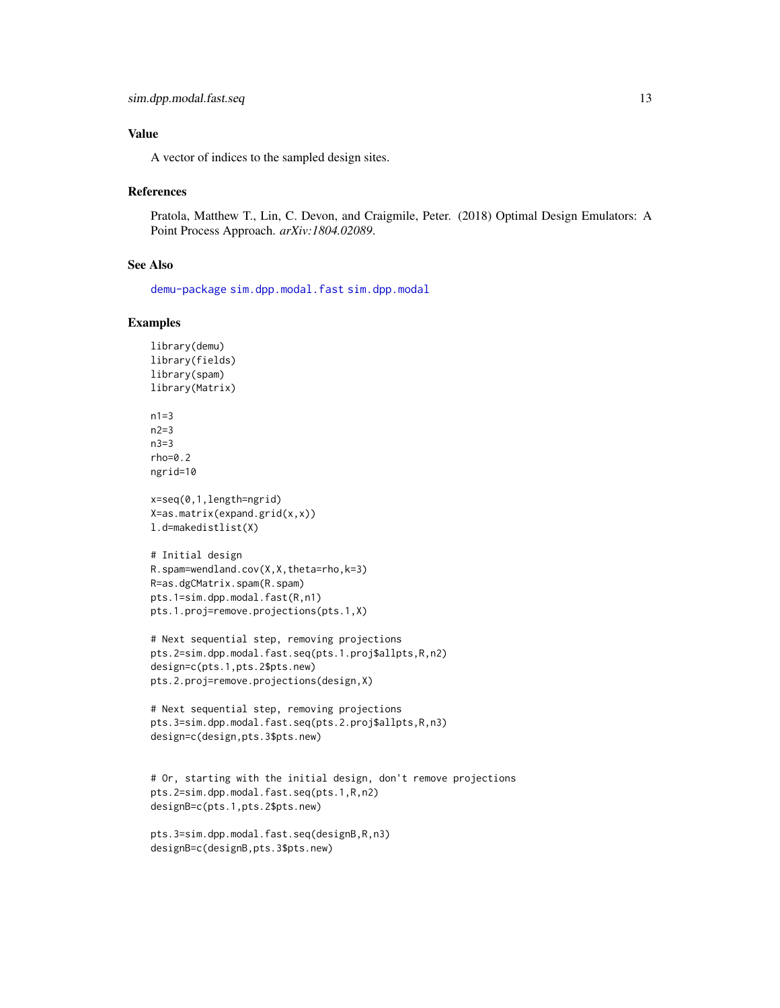#### <span id="page-12-0"></span>Value

A vector of indices to the sampled design sites.

#### References

Pratola, Matthew T., Lin, C. Devon, and Craigmile, Peter. (2018) Optimal Design Emulators: A Point Process Approach. *arXiv:1804.02089*.

#### See Also

[demu-package](#page-1-1) [sim.dpp.modal.fast](#page-10-1) [sim.dpp.modal](#page-8-1)

#### Examples

```
library(demu)
library(fields)
library(spam)
library(Matrix)
```
 $n1=3$  $n2=3$ n3=3 rho=0.2 ngrid=10

x=seq(0,1,length=ngrid) X=as.matrix(expand.grid(x,x)) l.d=makedistlist(X)

```
# Initial design
R.spam=wendland.cov(X,X,theta=rho,k=3)
R=as.dgCMatrix.spam(R.spam)
pts.1=sim.dpp.modal.fast(R,n1)
pts.1.proj=remove.projections(pts.1,X)
```

```
# Next sequential step, removing projections
pts.2=sim.dpp.modal.fast.seq(pts.1.proj$allpts,R,n2)
design=c(pts.1,pts.2$pts.new)
pts.2.proj=remove.projections(design,X)
```

```
# Next sequential step, removing projections
pts.3=sim.dpp.modal.fast.seq(pts.2.proj$allpts,R,n3)
design=c(design,pts.3$pts.new)
```

```
# Or, starting with the initial design, don't remove projections
pts.2=sim.dpp.modal.fast.seq(pts.1,R,n2)
designB=c(pts.1,pts.2$pts.new)
```

```
pts.3=sim.dpp.modal.fast.seq(designB,R,n3)
designB=c(designB,pts.3$pts.new)
```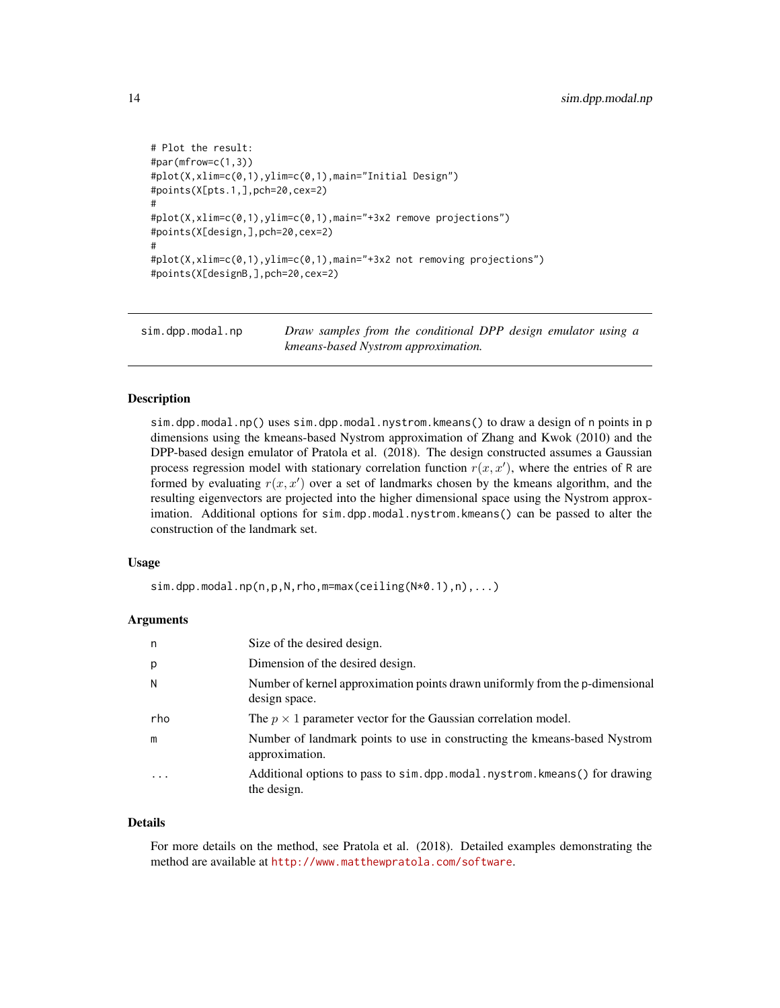```
# Plot the result:
#par(mfrow=c(1,3))
#plot(X,xlim=c(0,1),ylim=c(0,1),main="Initial Design")
#points(X[pts.1,],pch=20,cex=2)
#
#plot(X,xlim=c(0,1),ylim=c(0,1),main="+3x2 remove projections")
#points(X[design,],pch=20,cex=2)
#
#plot(X,xlim=c(0,1),ylim=c(0,1),main="+3x2 not removing projections")
#points(X[designB,],pch=20,cex=2)
```
sim.dpp.modal.np *Draw samples from the conditional DPP design emulator using a kmeans-based Nystrom approximation.*

#### Description

sim.dpp.modal.np() uses sim.dpp.modal.nystrom.kmeans() to draw a design of n points in p dimensions using the kmeans-based Nystrom approximation of Zhang and Kwok (2010) and the DPP-based design emulator of Pratola et al. (2018). The design constructed assumes a Gaussian process regression model with stationary correlation function  $r(x, x')$ , where the entries of R are formed by evaluating  $r(x, x')$  over a set of landmarks chosen by the kmeans algorithm, and the resulting eigenvectors are projected into the higher dimensional space using the Nystrom approximation. Additional options for sim.dpp.modal.nystrom.kmeans() can be passed to alter the construction of the landmark set.

#### Usage

 $sim.dpp.modal.np(n,p,N,rho,m=max(ceiling(N*0.1),n),...)$ 

#### Arguments

| n                       | Size of the desired design.                                                                   |
|-------------------------|-----------------------------------------------------------------------------------------------|
| p                       | Dimension of the desired design.                                                              |
| N                       | Number of kernel approximation points drawn uniformly from the p-dimensional<br>design space. |
| rho                     | The $p \times 1$ parameter vector for the Gaussian correlation model.                         |
| m                       | Number of landmark points to use in constructing the kmeans-based Nystrom<br>approximation.   |
| $\cdot$ $\cdot$ $\cdot$ | Additional options to pass to sim.dpp.modal.nystrom.kmeans() for drawing<br>the design.       |

#### Details

For more details on the method, see Pratola et al. (2018). Detailed examples demonstrating the method are available at <http://www.matthewpratola.com/software>.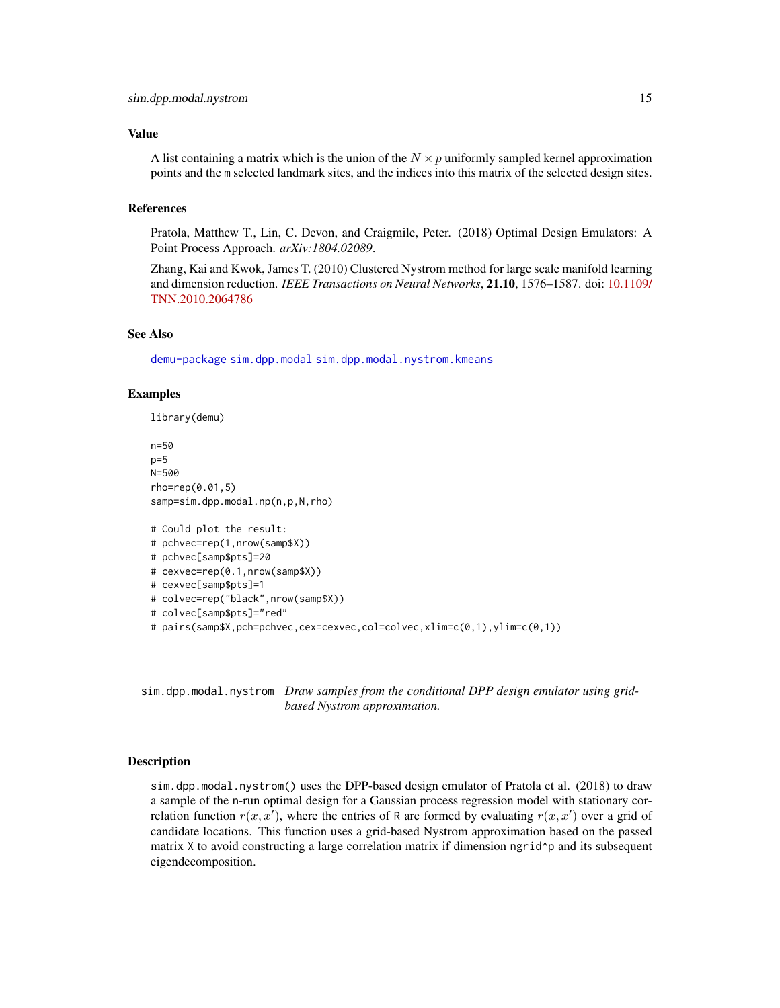#### <span id="page-14-0"></span>Value

A list containing a matrix which is the union of the  $N \times p$  uniformly sampled kernel approximation points and the m selected landmark sites, and the indices into this matrix of the selected design sites.

#### References

Pratola, Matthew T., Lin, C. Devon, and Craigmile, Peter. (2018) Optimal Design Emulators: A Point Process Approach. *arXiv:1804.02089*.

Zhang, Kai and Kwok, James T. (2010) Clustered Nystrom method for large scale manifold learning and dimension reduction. *IEEE Transactions on Neural Networks*, 21.10, 1576–1587. doi: [10.1109/](https://doi.org/10.1109/TNN.2010.2064786) [TNN.2010.2064786](https://doi.org/10.1109/TNN.2010.2064786)

#### See Also

[demu-package](#page-1-1) [sim.dpp.modal](#page-8-1) [sim.dpp.modal.nystrom.kmeans](#page-16-1)

#### Examples

```
library(demu)
n=50
p=5N=500
rho=rep(0.01,5)
samp=sim.dpp.modal.np(n,p,N,rho)
# Could plot the result:
# pchvec=rep(1,nrow(samp$X))
# pchvec[samp$pts]=20
# cexvec=rep(0.1,nrow(samp$X))
# cexvec[samp$pts]=1
# colvec=rep("black",nrow(samp$X))
# colvec[samp$pts]="red"
# pairs(samp$X,pch=pchvec,cex=cexvec,col=colvec,xlim=c(0,1),ylim=c(0,1))
```
<span id="page-14-1"></span>sim.dpp.modal.nystrom *Draw samples from the conditional DPP design emulator using gridbased Nystrom approximation.*

#### **Description**

sim.dpp.modal.nystrom() uses the DPP-based design emulator of Pratola et al. (2018) to draw a sample of the n-run optimal design for a Gaussian process regression model with stationary correlation function  $r(x, x')$ , where the entries of R are formed by evaluating  $r(x, x')$  over a grid of candidate locations. This function uses a grid-based Nystrom approximation based on the passed matrix  $X$  to avoid constructing a large correlation matrix if dimension ngrid $\gamma$  and its subsequent eigendecomposition.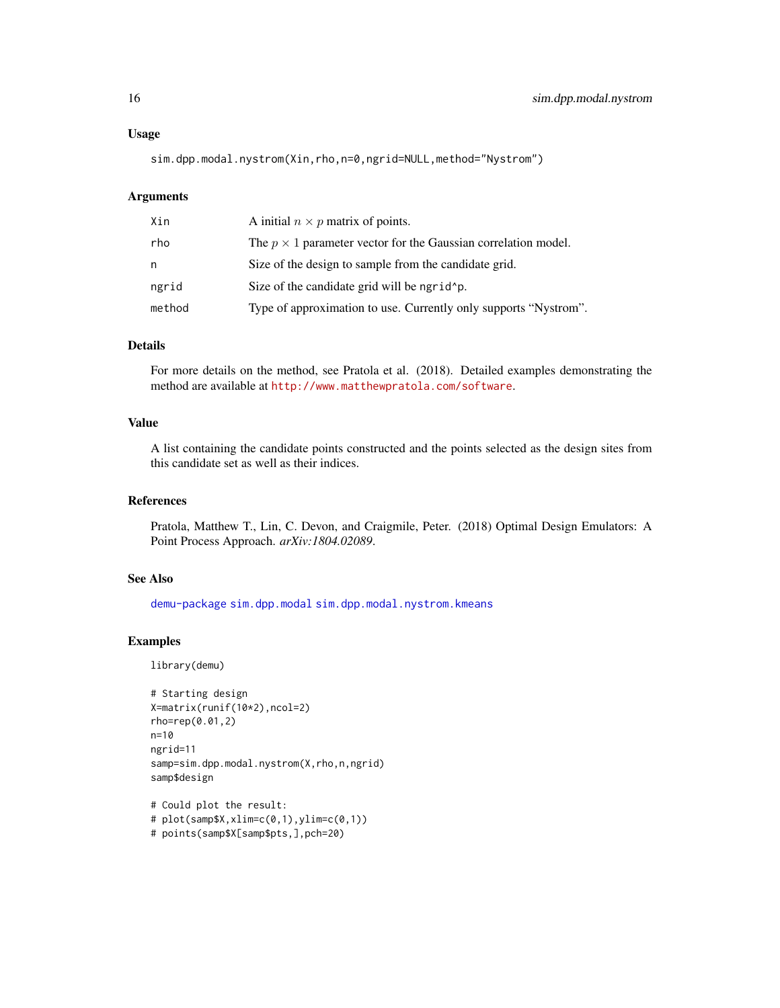<span id="page-15-0"></span>sim.dpp.modal.nystrom(Xin,rho,n=0,ngrid=NULL,method="Nystrom")

#### Arguments

| Xin    | A initial $n \times p$ matrix of points.                              |
|--------|-----------------------------------------------------------------------|
| rho    | The $p \times 1$ parameter vector for the Gaussian correlation model. |
| n      | Size of the design to sample from the candidate grid.                 |
| ngrid  | Size of the candidate grid will be ngrid p.                           |
| method | Type of approximation to use. Currently only supports "Nystrom".      |

#### Details

For more details on the method, see Pratola et al. (2018). Detailed examples demonstrating the method are available at <http://www.matthewpratola.com/software>.

#### Value

A list containing the candidate points constructed and the points selected as the design sites from this candidate set as well as their indices.

#### References

Pratola, Matthew T., Lin, C. Devon, and Craigmile, Peter. (2018) Optimal Design Emulators: A Point Process Approach. *arXiv:1804.02089*.

#### See Also

[demu-package](#page-1-1) [sim.dpp.modal](#page-8-1) [sim.dpp.modal.nystrom.kmeans](#page-16-1)

#### Examples

```
# Starting design
X=matrix(runif(10*2),ncol=2)
rho=rep(0.01,2)
n=10
ngrid=11
samp=sim.dpp.modal.nystrom(X,rho,n,ngrid)
samp$design
```

```
# Could plot the result:
# plot(samp$X,xlim=c(0,1),ylim=c(0,1))
# points(samp$X[samp$pts,],pch=20)
```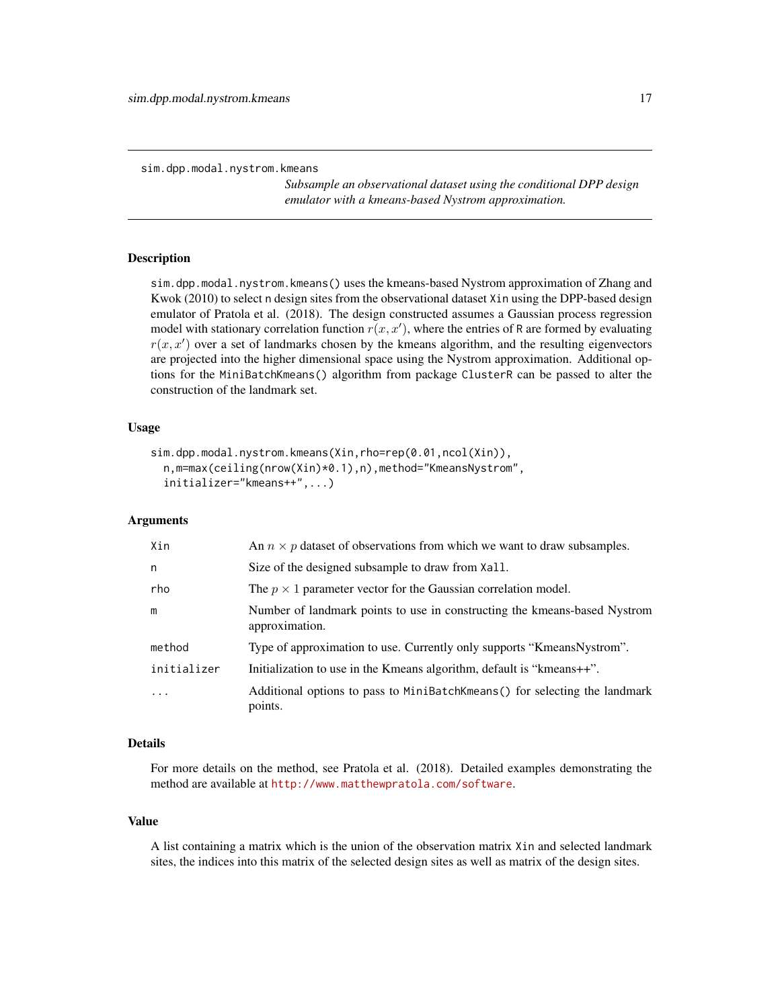<span id="page-16-1"></span><span id="page-16-0"></span>sim.dpp.modal.nystrom.kmeans

*Subsample an observational dataset using the conditional DPP design emulator with a kmeans-based Nystrom approximation.*

#### Description

sim.dpp.modal.nystrom.kmeans() uses the kmeans-based Nystrom approximation of Zhang and Kwok (2010) to select n design sites from the observational dataset Xin using the DPP-based design emulator of Pratola et al. (2018). The design constructed assumes a Gaussian process regression model with stationary correlation function  $r(x, x')$ , where the entries of R are formed by evaluating  $r(x, x')$  over a set of landmarks chosen by the kmeans algorithm, and the resulting eigenvectors are projected into the higher dimensional space using the Nystrom approximation. Additional options for the MiniBatchKmeans() algorithm from package ClusterR can be passed to alter the construction of the landmark set.

#### Usage

```
sim.dpp.modal.nystrom.kmeans(Xin,rho=rep(0.01,ncol(Xin)),
  n,m=max(ceiling(nrow(Xin)*0.1),n),method="KmeansNystrom",
  initializer="kmeans++",...)
```
#### Arguments

| Xin         | An $n \times p$ dataset of observations from which we want to draw subsamples.              |
|-------------|---------------------------------------------------------------------------------------------|
| n           | Size of the designed subsample to draw from Xall.                                           |
| rho         | The $p \times 1$ parameter vector for the Gaussian correlation model.                       |
| m           | Number of landmark points to use in constructing the kmeans-based Nystrom<br>approximation. |
| method      | Type of approximation to use. Currently only supports "KmeansNystrom".                      |
| initializer | Initialization to use in the Kmeans algorithm, default is "kmeans++".                       |
| $\cdot$     | Additional options to pass to MiniBatchKmeans () for selecting the landmark<br>points.      |

#### Details

For more details on the method, see Pratola et al. (2018). Detailed examples demonstrating the method are available at <http://www.matthewpratola.com/software>.

#### Value

A list containing a matrix which is the union of the observation matrix Xin and selected landmark sites, the indices into this matrix of the selected design sites as well as matrix of the design sites.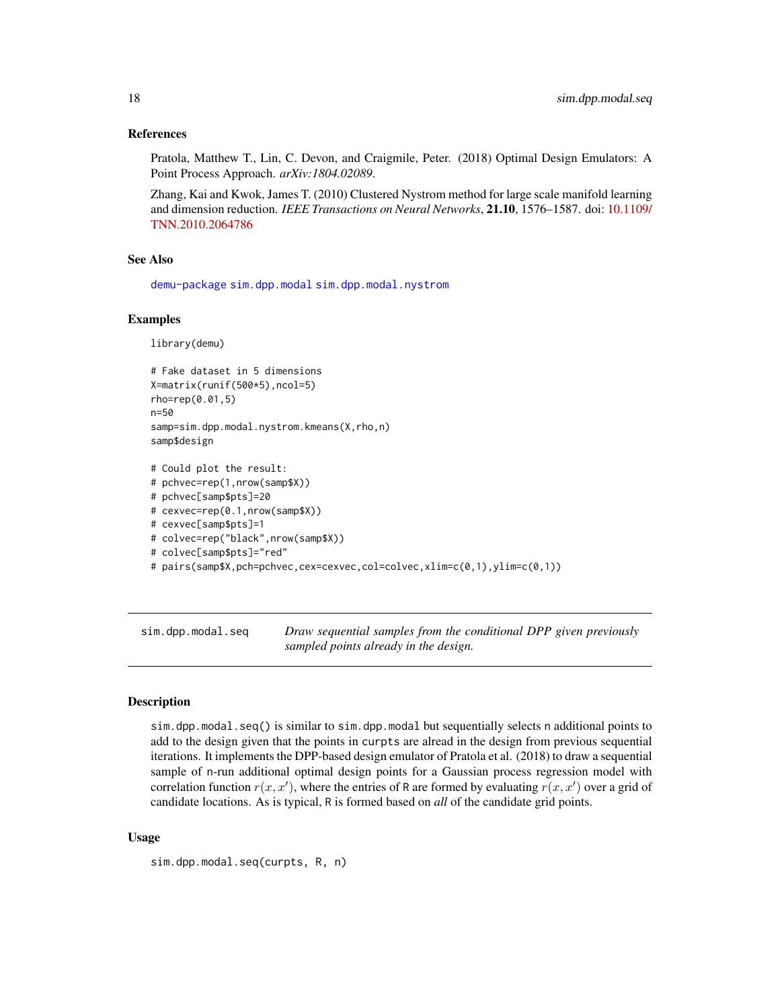#### <span id="page-17-0"></span>References

Pratola, Matthew T., Lin, C. Devon, and Craigmile, Peter. (2018) Optimal Design Emulators: A Point Process Approach. *arXiv:1804.02089*.

Zhang, Kai and Kwok, James T. (2010) Clustered Nystrom method for large scale manifold learning and dimension reduction. *IEEE Transactions on Neural Networks*, 21.10, 1576–1587. doi: [10.1109/](https://doi.org/10.1109/TNN.2010.2064786) [TNN.2010.2064786](https://doi.org/10.1109/TNN.2010.2064786)

#### See Also

[demu-package](#page-1-1) [sim.dpp.modal](#page-8-1) [sim.dpp.modal.nystrom](#page-14-1)

#### Examples

```
library(demu)
```

```
# Fake dataset in 5 dimensions
X=matrix(runif(500*5),ncol=5)
rho=rep(0.01,5)
n=50
samp=sim.dpp.modal.nystrom.kmeans(X,rho,n)
samp$design
```

```
# Could plot the result:
# pchvec=rep(1,nrow(samp$X))
# pchvec[samp$pts]=20
# cexvec=rep(0.1,nrow(samp$X))
# cexvec[samp$pts]=1
# colvec=rep("black",nrow(samp$X))
# colvec[samp$pts]="red"
# pairs(samp$X,pch=pchvec,cex=cexvec,col=colvec,xlim=c(0,1),ylim=c(0,1))
```
<span id="page-17-1"></span>sim.dpp.modal.seq *Draw sequential samples from the conditional DPP given previously sampled points already in the design.*

#### Description

sim.dpp.modal.seq() is similar to sim.dpp.modal but sequentially selects n additional points to add to the design given that the points in curpts are alread in the design from previous sequential iterations. It implements the DPP-based design emulator of Pratola et al. (2018) to draw a sequential sample of n-run additional optimal design points for a Gaussian process regression model with correlation function  $r(x, x')$ , where the entries of R are formed by evaluating  $r(x, x')$  over a grid of candidate locations. As is typical, R is formed based on *all* of the candidate grid points.

#### Usage

```
sim.dpp.modal.seq(curpts, R, n)
```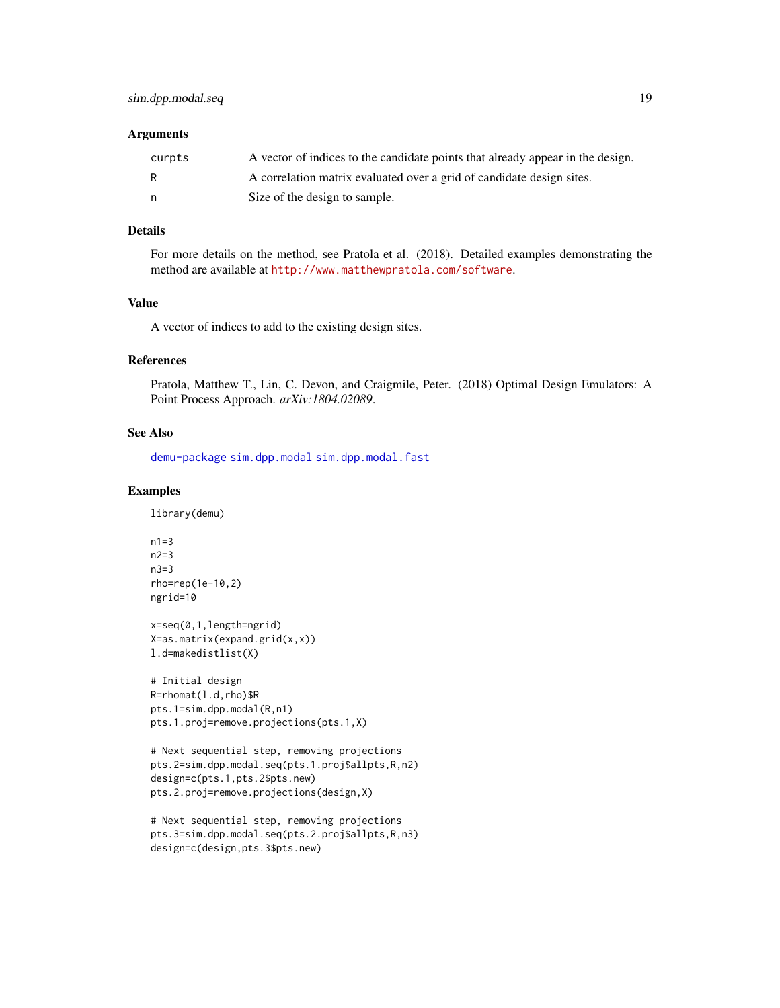#### <span id="page-18-0"></span>Arguments

| curpts | A vector of indices to the candidate points that already appear in the design. |
|--------|--------------------------------------------------------------------------------|
| R      | A correlation matrix evaluated over a grid of candidate design sites.          |
| n,     | Size of the design to sample.                                                  |

## Details

For more details on the method, see Pratola et al. (2018). Detailed examples demonstrating the method are available at <http://www.matthewpratola.com/software>.

#### Value

A vector of indices to add to the existing design sites.

#### References

Pratola, Matthew T., Lin, C. Devon, and Craigmile, Peter. (2018) Optimal Design Emulators: A Point Process Approach. *arXiv:1804.02089*.

#### See Also

[demu-package](#page-1-1) [sim.dpp.modal](#page-8-1) [sim.dpp.modal.fast](#page-10-1)

#### Examples

```
n1=3n2=3
n3=3
rho=rep(1e-10,2)
ngrid=10
```

```
x=seq(0,1,length=ngrid)
X=as.matrix(expand.grid(x,x))
l.d=makedistlist(X)
```

```
# Initial design
R=rhomat(l.d,rho)$R
pts.1=sim.dpp.modal(R,n1)
pts.1.proj=remove.projections(pts.1,X)
```

```
# Next sequential step, removing projections
pts.2=sim.dpp.modal.seq(pts.1.proj$allpts,R,n2)
design=c(pts.1,pts.2$pts.new)
pts.2.proj=remove.projections(design,X)
```

```
# Next sequential step, removing projections
pts.3=sim.dpp.modal.seq(pts.2.proj$allpts,R,n3)
design=c(design,pts.3$pts.new)
```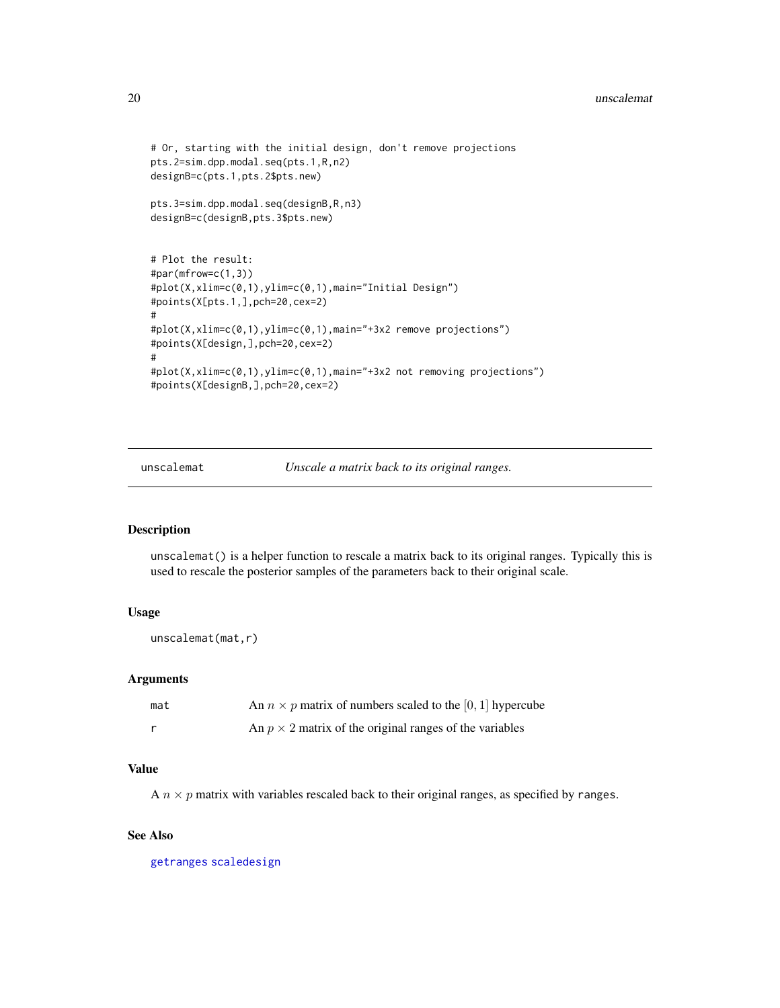```
# Or, starting with the initial design, don't remove projections
pts.2=sim.dpp.modal.seq(pts.1,R,n2)
designB=c(pts.1,pts.2$pts.new)
pts.3=sim.dpp.modal.seq(designB,R,n3)
designB=c(designB,pts.3$pts.new)
# Plot the result:
#par(mfrow=c(1,3))
#plot(X,xlim=c(0,1),ylim=c(0,1),main="Initial Design")
#points(X[pts.1,],pch=20,cex=2)
#
#plot(X,xlim=c(0,1),ylim=c(0,1),main="+3x2 remove projections")
#points(X[design,],pch=20,cex=2)
#
#plot(X,xlim=c(0,1),ylim=c(0,1),main="+3x2 not removing projections")
#points(X[designB,],pch=20,cex=2)
```
<span id="page-19-1"></span>unscalemat *Unscale a matrix back to its original ranges.*

#### Description

unscalemat() is a helper function to rescale a matrix back to its original ranges. Typically this is used to rescale the posterior samples of the parameters back to their original scale.

#### Usage

```
unscalemat(mat,r)
```
#### Arguments

| mat | An $n \times p$ matrix of numbers scaled to the [0, 1] hypercube |
|-----|------------------------------------------------------------------|
|     | An $p \times 2$ matrix of the original ranges of the variables   |

#### Value

A  $n \times p$  matrix with variables rescaled back to their original ranges, as specified by ranges.

#### See Also

[getranges](#page-3-1) [scaledesign](#page-8-2)

<span id="page-19-0"></span>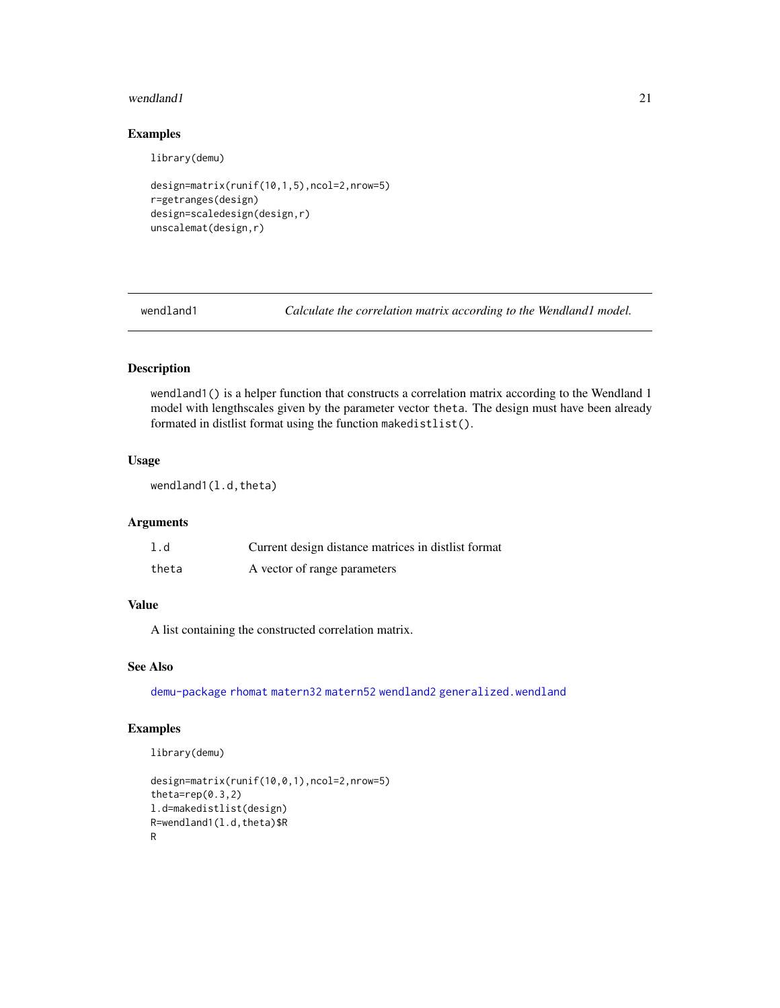#### <span id="page-20-0"></span>wendland1 21

#### Examples

library(demu)

```
design=matrix(runif(10,1,5),ncol=2,nrow=5)
r=getranges(design)
design=scaledesign(design,r)
unscalemat(design,r)
```
<span id="page-20-1"></span>

wendland1 *Calculate the correlation matrix according to the Wendland1 model.*

## Description

wendland1() is a helper function that constructs a correlation matrix according to the Wendland 1 model with lengthscales given by the parameter vector theta. The design must have been already formated in distlist format using the function makedistlist().

#### Usage

wendland1(l.d,theta)

#### Arguments

| 1.d   | Current design distance matrices in distlist format |
|-------|-----------------------------------------------------|
| theta | A vector of range parameters                        |

#### Value

A list containing the constructed correlation matrix.

#### See Also

[demu-package](#page-1-1) [rhomat](#page-7-1) [matern32](#page-4-1) [matern52](#page-5-1) [wendland2](#page-21-1) [generalized.wendland](#page-2-1)

#### Examples

```
design=matrix(runif(10,0,1),ncol=2,nrow=5)
theta=rep(0.3,2)
l.d=makedistlist(design)
R=wendland1(l.d,theta)$R
R
```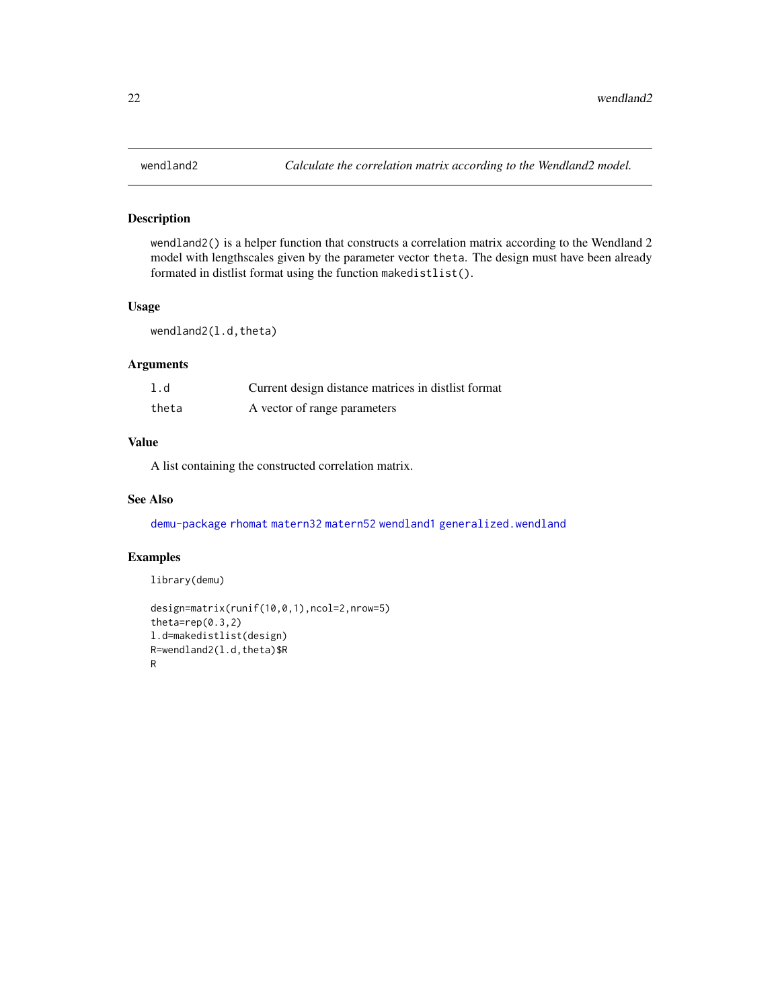#### <span id="page-21-1"></span><span id="page-21-0"></span>Description

wendland2() is a helper function that constructs a correlation matrix according to the Wendland 2 model with lengthscales given by the parameter vector theta. The design must have been already formated in distlist format using the function makedistlist().

#### Usage

wendland2(l.d,theta)

#### Arguments

| 1.d   | Current design distance matrices in distlist format |
|-------|-----------------------------------------------------|
| theta | A vector of range parameters                        |

## Value

A list containing the constructed correlation matrix.

#### See Also

[demu-package](#page-1-1) [rhomat](#page-7-1) [matern32](#page-4-1) [matern52](#page-5-1) [wendland1](#page-20-1) [generalized.wendland](#page-2-1)

#### Examples

```
library(demu)
```

```
design=matrix(runif(10,0,1),ncol=2,nrow=5)
theta=rep(0.3,2)
l.d=makedistlist(design)
R=wendland2(l.d,theta)$R
R
```